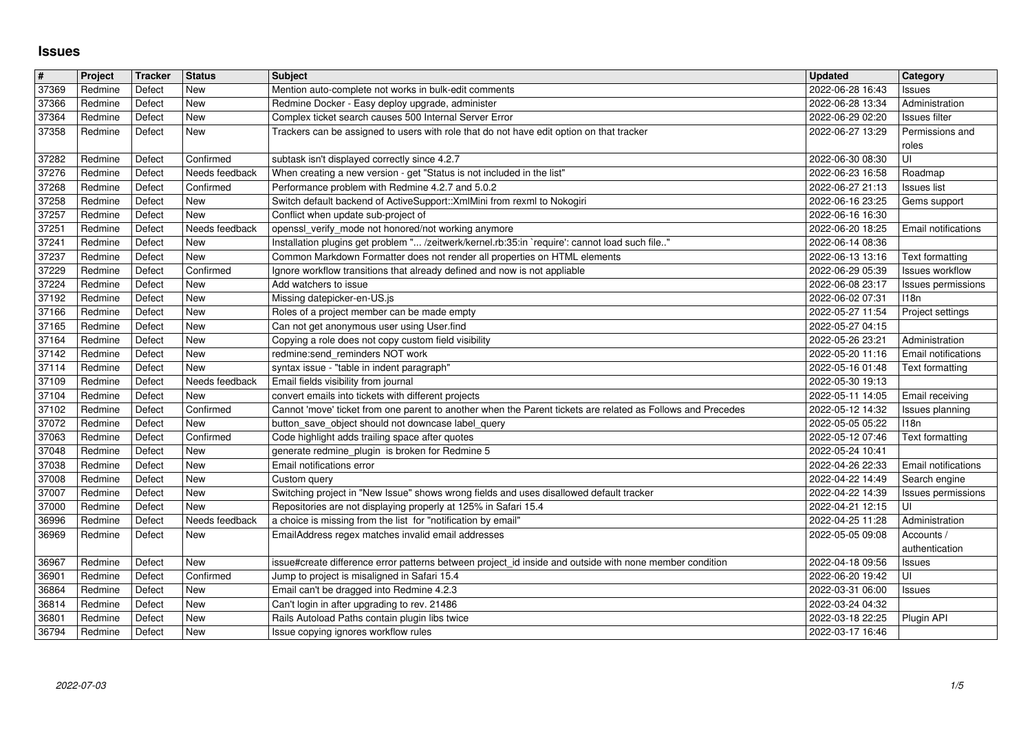## **Issues**

| $\pmb{\#}$     | Project            | Tracker          | <b>Status</b>               | <b>Subject</b>                                                                                                                                                     | <b>Updated</b>                                  | Category                                     |
|----------------|--------------------|------------------|-----------------------------|--------------------------------------------------------------------------------------------------------------------------------------------------------------------|-------------------------------------------------|----------------------------------------------|
| 37369<br>37366 | Redmine<br>Redmine | Defect<br>Defect | <b>New</b><br><b>New</b>    | Mention auto-complete not works in bulk-edit comments<br>Redmine Docker - Easy deploy upgrade, administer                                                          | 2022-06-28 16:43<br>2022-06-28 13:34            | Issues<br>Administration                     |
| 37364          | Redmine            | Defect           | <b>New</b>                  | Complex ticket search causes 500 Internal Server Error                                                                                                             | 2022-06-29 02:20                                | Issues filter                                |
| 37358          | Redmine            | Defect           | <b>New</b>                  | Trackers can be assigned to users with role that do not have edit option on that tracker                                                                           | 2022-06-27 13:29                                | Permissions and<br>roles                     |
| 37282          | Redmine            | Defect           | Confirmed                   | subtask isn't displayed correctly since 4.2.7                                                                                                                      | 2022-06-30 08:30                                | UI                                           |
| 37276<br>37268 | Redmine<br>Redmine | Defect<br>Defect | Needs feedback<br>Confirmed | When creating a new version - get "Status is not included in the list"<br>Performance problem with Redmine 4.2.7 and 5.0.2                                         | 2022-06-23 16:58<br>2022-06-27 21:13            | Roadmap<br>Issues list                       |
| 37258          | Redmine            | Defect           | New                         | Switch default backend of ActiveSupport:: XmlMini from rexml to Nokogiri                                                                                           | 2022-06-16 23:25                                | Gems support                                 |
| 37257<br>37251 | Redmine<br>Redmine | Defect<br>Defect | New<br>Needs feedback       | Conflict when update sub-project of<br>openssl_verify_mode not honored/not working anymore                                                                         | 2022-06-16 16:30<br>2022-06-20 18:25            | Email notifications                          |
| 37241          | Redmine            | Defect           | New                         | Installation plugins get problem " /zeitwerk/kernel.rb:35:in `require': cannot load such file"                                                                     | 2022-06-14 08:36                                |                                              |
| 37237          | Redmine            | Defect           | New                         | Common Markdown Formatter does not render all properties on HTML elements                                                                                          | 2022-06-13 13:16                                | Text formatting                              |
| 37229<br>37224 | Redmine<br>Redmine | Defect<br>Defect | Confirmed<br><b>New</b>     | Ignore workflow transitions that already defined and now is not appliable<br>Add watchers to issue                                                                 | 2022-06-29 05:39<br>2022-06-08 23:17            | <b>Issues workflow</b><br>Issues permissions |
| 37192          | Redmine            | Defect           | <b>New</b>                  | Missing datepicker-en-US.js                                                                                                                                        | 2022-06-02 07:31                                | 118n                                         |
| 37166<br>37165 | Redmine<br>Redmine | Defect<br>Defect | New<br>New                  | Roles of a project member can be made empty<br>Can not get anonymous user using User.find                                                                          | 2022-05-27 11:54<br>2022-05-27 04:15            | Project settings                             |
| 37164          | Redmine            | Defect           | New                         | Copying a role does not copy custom field visibility                                                                                                               | 2022-05-26 23:21                                | Administration                               |
| 37142<br>37114 | Redmine<br>Redmine | Defect<br>Defect | <b>New</b><br><b>New</b>    | redmine:send_reminders NOT work<br>syntax issue - "table in indent paragraph"                                                                                      | 2022-05-20 11:16<br>2022-05-16 01:48            | Email notifications<br>Text formatting       |
| 37109          | Redmine            | Defect           | Needs feedback              | Email fields visibility from journal                                                                                                                               | 2022-05-30 19:13                                |                                              |
| 37104<br>37102 | Redmine<br>Redmine | Defect<br>Defect | New<br>Confirmed            | convert emails into tickets with different projects<br>Cannot 'move' ticket from one parent to another when the Parent tickets are related as Follows and Precedes | 2022-05-11 14:05<br>2022-05-12 14:32            | Email receiving<br>Issues planning           |
| 37072          | Redmine            | Defect           | <b>New</b>                  | button_save_object should not downcase label_query                                                                                                                 | 2022-05-05 05:22                                | 118n                                         |
| 37063<br>37048 | Redmine<br>Redmine | Defect<br>Defect | Confirmed<br>New            | Code highlight adds trailing space after quotes<br>generate redmine_plugin is broken for Redmine 5                                                                 | 2022-05-12 07:46<br>2022-05-24 10:41            | Text formatting                              |
| 37038          | Redmine            | Defect           | New                         | Email notifications error                                                                                                                                          | 2022-04-26 22:33                                | Email notifications                          |
| 37008          | Redmine            | Defect           | <b>New</b>                  | Custom query                                                                                                                                                       | 2022-04-22 14:49                                | Search engine                                |
| 37007<br>37000 | Redmine<br>Redmine | Defect<br>Defect | <b>New</b><br>New           | Switching project in "New Issue" shows wrong fields and uses disallowed default tracker<br>Repositories are not displaying properly at 125% in Safari 15.4         | 2022-04-22 14:39<br>2022-04-21 12:15            | Issues permissions<br>ΙUΙ                    |
| 36996          | Redmine            | Defect           | Needs feedback              | a choice is missing from the list for "notification by email"                                                                                                      | 2022-04-25 11:28                                | Administration                               |
| 36969          | Redmine            | Defect           | <b>New</b>                  | EmailAddress regex matches invalid email addresses                                                                                                                 | 2022-05-05 09:08                                | Accounts /<br>authentication                 |
| 36967          | Redmine            | Defect           | New                         | issue#create difference error patterns between project_id inside and outside with none member condition                                                            | 2022-04-18 09:56                                | Issues                                       |
| 36901<br>36864 | Redmine<br>Redmine | Defect<br>Defect | Confirmed<br>New            | Jump to project is misaligned in Safari 15.4<br>Email can't be dragged into Redmine 4.2.3                                                                          | 2022-06-20 19:42<br>2022-03-31 06:00            | UI<br>Issues                                 |
| 36814          | Redmine            | Defect           | New                         | Can't login in after upgrading to rev. 21486                                                                                                                       | 2022-03-24 04:32                                |                                              |
| 36801<br>36794 | Redmine<br>Redmine | Defect<br>Defect | New<br>New                  | Rails Autoload Paths contain plugin libs twice<br>Issue copying ignores workflow rules                                                                             | 2022-03-18 22:25 Plugin API<br>2022-03-17 16:46 |                                              |
|                |                    |                  |                             |                                                                                                                                                                    |                                                 |                                              |
|                |                    |                  |                             |                                                                                                                                                                    |                                                 |                                              |
|                |                    |                  |                             |                                                                                                                                                                    |                                                 |                                              |
|                |                    |                  |                             |                                                                                                                                                                    |                                                 |                                              |
|                |                    |                  |                             |                                                                                                                                                                    |                                                 |                                              |
|                |                    |                  |                             |                                                                                                                                                                    |                                                 |                                              |
|                |                    |                  |                             |                                                                                                                                                                    |                                                 |                                              |
|                |                    |                  |                             |                                                                                                                                                                    |                                                 |                                              |
|                |                    |                  |                             |                                                                                                                                                                    |                                                 |                                              |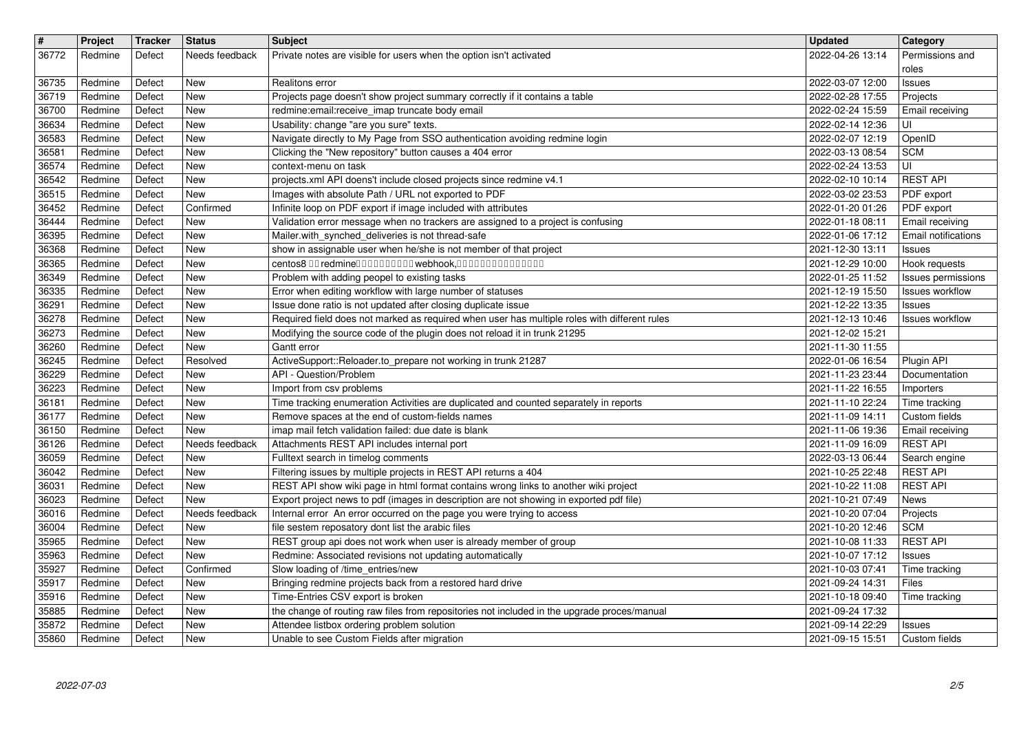| $\overline{\mathbf{r}}$<br>36772 | Project<br>Redmine | Tracker<br>Defect | Status<br>Needs feedback | <b>Subject</b>                                                                                                                                                                 | <b>Updated</b><br>2022-04-26 13:14   | Category<br>Permissions and           |
|----------------------------------|--------------------|-------------------|--------------------------|--------------------------------------------------------------------------------------------------------------------------------------------------------------------------------|--------------------------------------|---------------------------------------|
|                                  |                    |                   |                          | Private notes are visible for users when the option isn't activated                                                                                                            |                                      | roles                                 |
| 36735<br>36719                   | Redmine<br>Redmine | Defect<br>Defect  | New<br>New               | Realitons error<br>Projects page doesn't show project summary correctly if it contains a table                                                                                 | 2022-03-07 12:00<br>2022-02-28 17:55 | Issues<br>Projects                    |
| 36700                            | Redmine            | Defect            | New                      | redmine:email:receive_imap truncate body email                                                                                                                                 | 2022-02-24 15:59                     | Email receiving                       |
| 36634<br>36583                   | Redmine<br>Redmine | Defect<br>Defect  | New<br>New               | Usability: change "are you sure" texts.<br>Navigate directly to My Page from SSO authentication avoiding redmine login                                                         | 2022-02-14 12:36<br>2022-02-07 12:19 | UI<br>OpenID                          |
| 36581                            | Redmine            | Defect            | New                      | Clicking the "New repository" button causes a 404 error                                                                                                                        | 2022-03-13 08:54                     | <b>SCM</b>                            |
| 36574<br>36542                   | Redmine<br>Redmine | Defect<br>Defect  | New<br>New               | context-menu on task<br>projects.xml API doens't include closed projects since redmine v4.1                                                                                    | 2022-02-24 13:53<br>2022-02-10 10:14 | UI<br><b>REST API</b>                 |
| 36515<br>36452                   | Redmine<br>Redmine | Defect<br>Defect  | New<br>Confirmed         | Images with absolute Path / URL not exported to PDF<br>Infinite loop on PDF export if image included with attributes                                                           | 2022-03-02 23:53<br>2022-01-20 01:26 | PDF export<br>PDF export              |
| 36444                            | Redmine            | Defect            | New                      | Validation error message when no trackers are assigned to a project is confusing                                                                                               | 2022-01-18 08:11                     | Email receiving                       |
| 36395<br>36368                   | Redmine<br>Redmine | Defect<br>Defect  | New<br>New               | Mailer.with_synched_deliveries is not thread-safe<br>show in assignable user when he/she is not member of that project                                                         | 2022-01-06 17:12<br>2021-12-30 13:11 | Email notifications<br><b>Issues</b>  |
| 36365                            | Redmine            | Defect            | New                      | centos8 00 redmine0000000000 webhook,000000000000000                                                                                                                           | 2021-12-29 10:00                     | Hook requests                         |
| 36349<br>36335                   | Redmine<br>Redmine | Defect<br>Defect  | New<br>New               | Problem with adding peopel to existing tasks<br>Error when editing workflow with large number of statuses                                                                      | 2022-01-25 11:52<br>2021-12-19 15:50 | Issues permissions<br>Issues workflow |
| 36291<br>36278                   | Redmine<br>Redmine | Defect<br>Defect  | New<br>New               | Issue done ratio is not updated after closing duplicate issue<br>Required field does not marked as required when user has multiple roles with different rules                  | 2021-12-22 13:35<br>2021-12-13 10:46 | Issues<br><b>Issues workflow</b>      |
| 36273                            | Redmine            | Defect            | New                      | Modifying the source code of the plugin does not reload it in trunk 21295                                                                                                      | 2021-12-02 15:21                     |                                       |
| 36260<br>36245                   | Redmine<br>Redmine | Defect<br>Defect  | New<br>Resolved          | Gantt error<br>ActiveSupport::Reloader.to_prepare not working in trunk 21287                                                                                                   | 2021-11-30 11:55<br>2022-01-06 16:54 | Plugin API                            |
| 36229<br>36223                   | Redmine<br>Redmine | Defect<br>Defect  | New<br>New               | API - Question/Problem<br>Import from csv problems                                                                                                                             | 2021-11-23 23:44<br>2021-11-22 16:55 | Documentation<br>Importers            |
| 36181                            | Redmine            | Defect            | New                      | Time tracking enumeration Activities are duplicated and counted separately in reports                                                                                          | 2021-11-10 22:24                     | Time tracking                         |
| 36177<br>36150                   | Redmine<br>Redmine | Defect<br>Defect  | New<br>New               | Remove spaces at the end of custom-fields names<br>imap mail fetch validation failed: due date is blank                                                                        | 2021-11-09 14:11<br>2021-11-06 19:36 | Custom fields<br>Email receiving      |
| 36126                            | Redmine            | Defect            | Needs feedback           | Attachments REST API includes internal port                                                                                                                                    | 2021-11-09 16:09                     | <b>REST API</b>                       |
| 36059<br>36042                   | Redmine<br>Redmine | Defect<br>Defect  | New<br>New               | Fulltext search in timelog comments<br>Filtering issues by multiple projects in REST API returns a 404                                                                         | 2022-03-13 06:44<br>2021-10-25 22:48 | Search engine<br><b>REST API</b>      |
| 36031<br>36023                   | Redmine<br>Redmine | Defect<br>Defect  | New<br>New               | REST API show wiki page in html format contains wrong links to another wiki project<br>Export project news to pdf (images in description are not showing in exported pdf file) | 2021-10-22 11:08<br>2021-10-21 07:49 | <b>REST API</b><br>News               |
| 36016                            | Redmine            | Defect            | Needs feedback           | Internal error An error occurred on the page you were trying to access                                                                                                         | 2021-10-20 07:04                     | Projects                              |
| 36004<br>35965                   | Redmine<br>Redmine | Defect<br>Defect  | New<br>New               | file sestem reposatory dont list the arabic files<br>REST group api does not work when user is already member of group                                                         | 2021-10-20 12:46<br>2021-10-08 11:33 | <b>SCM</b><br><b>REST API</b>         |
| 35963<br>35927                   | Redmine<br>Redmine | Defect<br>Defect  | New<br>Confirmed         | Redmine: Associated revisions not updating automatically<br>Slow loading of /time_entries/new                                                                                  | 2021-10-07 17:12<br>2021-10-03 07:41 | Issues<br>Time tracking               |
| 35917                            | Redmine            | Defect            | New                      | Bringing redmine projects back from a restored hard drive                                                                                                                      | 2021-09-24 14:31                     | Files                                 |
| 35916<br>35885                   | Redmine<br>Redmine | Defect<br>Defect  | New<br>New               | Time-Entries CSV export is broken<br>the change of routing raw files from repositories not included in the upgrade proces/manual                                               | 2021-10-18 09:40<br>2021-09-24 17:32 | Time tracking                         |
| 35872<br>35860                   | Redmine<br>Redmine | Defect<br>Defect  | New<br>New               | Attendee listbox ordering problem solution<br>Unable to see Custom Fields after migration                                                                                      | 2021-09-14 22:29<br>2021-09-15 15:51 | Issues<br>Custom fields               |
|                                  |                    |                   |                          |                                                                                                                                                                                |                                      |                                       |
|                                  |                    |                   |                          |                                                                                                                                                                                |                                      |                                       |
|                                  |                    |                   |                          |                                                                                                                                                                                |                                      |                                       |
|                                  |                    |                   |                          |                                                                                                                                                                                |                                      |                                       |
|                                  |                    |                   |                          |                                                                                                                                                                                |                                      |                                       |
|                                  |                    |                   |                          |                                                                                                                                                                                |                                      |                                       |
|                                  |                    |                   |                          |                                                                                                                                                                                |                                      |                                       |
|                                  |                    |                   |                          |                                                                                                                                                                                |                                      |                                       |
|                                  |                    |                   |                          |                                                                                                                                                                                |                                      |                                       |
|                                  |                    |                   |                          |                                                                                                                                                                                |                                      |                                       |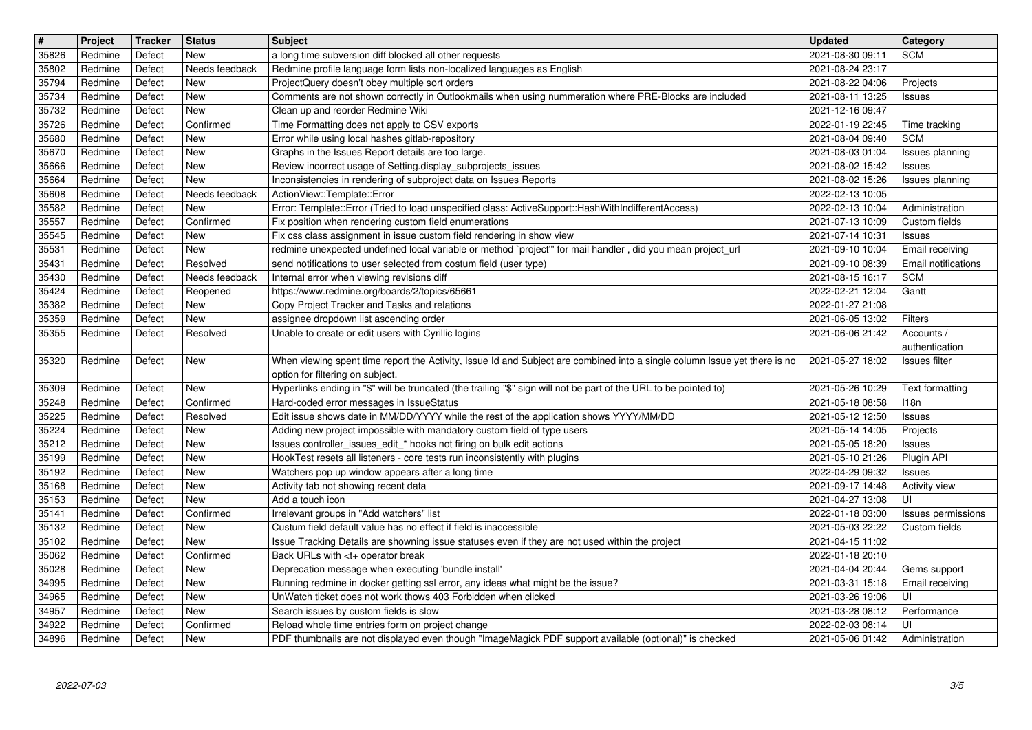| $\overline{\boldsymbol{H}}$ | Project            | Tracker          | <b>Status</b>              | Subject                                                                                                                                                                                                        | <b>Updated</b>                       | Category                                 |
|-----------------------------|--------------------|------------------|----------------------------|----------------------------------------------------------------------------------------------------------------------------------------------------------------------------------------------------------------|--------------------------------------|------------------------------------------|
| 35826<br>35802              | Redmine<br>Redmine | Defect<br>Defect | New<br>Needs feedback      | a long time subversion diff blocked all other requests<br>Redmine profile language form lists non-localized languages as English                                                                               | 2021-08-30 09:11<br>2021-08-24 23:17 | <b>SCM</b>                               |
| 35794                       | Redmine            | Defect           | <b>New</b>                 | ProjectQuery doesn't obey multiple sort orders                                                                                                                                                                 | 2021-08-22 04:06                     | Projects                                 |
| 35734                       | Redmine            | Defect           | New                        | Comments are not shown correctly in Outlookmails when using nummeration where PRE-Blocks are included                                                                                                          | 2021-08-11 13:25                     | Issues                                   |
| 35732<br>35726              | Redmine<br>Redmine | Defect<br>Defect | New<br>Confirmed           | Clean up and reorder Redmine Wiki<br>Time Formatting does not apply to CSV exports                                                                                                                             | 2021-12-16 09:47<br>2022-01-19 22:45 | Time tracking                            |
| 35680                       | Redmine            | Defect           | New                        | Error while using local hashes gitlab-repository                                                                                                                                                               | 2021-08-04 09:40                     | <b>SCM</b>                               |
| 35670                       | Redmine            | Defect           | New                        | Graphs in the Issues Report details are too large.                                                                                                                                                             | 2021-08-03 01:04                     | Issues planning                          |
| 35666<br>35664              | Redmine<br>Redmine | Defect<br>Defect | New<br>New                 | Review incorrect usage of Setting.display_subprojects_issues<br>Inconsistencies in rendering of subproject data on Issues Reports                                                                              | 2021-08-02 15:42<br>2021-08-02 15:26 | Issues<br>Issues planning                |
| 35608                       | Redmine            | Defect           | Needs feedback             | ActionView::Template::Error                                                                                                                                                                                    | 2022-02-13 10:05                     |                                          |
| 35582                       | Redmine            | Defect           | New                        | Error: Template::Error (Tried to load unspecified class: ActiveSupport::HashWithIndifferentAccess)                                                                                                             | 2022-02-13 10:04                     | Administration                           |
| 35557<br>35545              | Redmine<br>Redmine | Defect<br>Defect | Confirmed<br>New           | Fix position when rendering custom field enumerations<br>Fix css class assignment in issue custom field rendering in show view                                                                                 | 2021-07-13 10:09<br>2021-07-14 10:31 | Custom fields<br><b>Issues</b>           |
| 35531                       | Redmine            | Defect           | New                        | redmine unexpected undefined local variable or method `project" for mail handler, did you mean project_url                                                                                                     | 2021-09-10 10:04                     | Email receiving                          |
| 35431<br>35430              | Redmine<br>Redmine | Defect<br>Defect | Resolved<br>Needs feedback | send notifications to user selected from costum field (user type)<br>Internal error when viewing revisions diff                                                                                                | 2021-09-10 08:39<br>2021-08-15 16:17 | <b>Email notifications</b><br><b>SCM</b> |
| 35424                       | Redmine            | Defect           | Reopened                   | https://www.redmine.org/boards/2/topics/65661                                                                                                                                                                  | 2022-02-21 12:04                     | Gantt                                    |
| 35382                       | Redmine            | Defect           | New                        | Copy Project Tracker and Tasks and relations                                                                                                                                                                   | 2022-01-27 21:08                     |                                          |
| 35359<br>35355              | Redmine<br>Redmine | Defect<br>Defect | New<br>Resolved            | assignee dropdown list ascending order<br>Unable to create or edit users with Cyrillic logins                                                                                                                  | 2021-06-05 13:02<br>2021-06-06 21:42 | Filters<br>Accounts /                    |
|                             |                    |                  |                            |                                                                                                                                                                                                                |                                      | authentication                           |
| 35320                       | Redmine            | Defect           | New                        | When viewing spent time report the Activity, Issue Id and Subject are combined into a single column Issue yet there is no                                                                                      | 2021-05-27 18:02                     | Issues filter                            |
| 35309                       | Redmine            | Defect           | New                        | option for filtering on subject.<br>Hyperlinks ending in "\$" will be truncated (the trailing "\$" sign will not be part of the URL to be pointed to)                                                          | 2021-05-26 10:29                     | Text formatting                          |
| 35248                       | Redmine            | Defect           | Confirmed                  | Hard-coded error messages in IssueStatus                                                                                                                                                                       | 2021-05-18 08:58                     | 118n                                     |
| 35225                       | Redmine            | Defect           | Resolved                   | Edit issue shows date in MM/DD/YYYY while the rest of the application shows YYYY/MM/DD                                                                                                                         | 2021-05-12 12:50                     | Issues                                   |
| 35224<br>35212              | Redmine<br>Redmine | Defect<br>Defect | New<br>New                 | Adding new project impossible with mandatory custom field of type users<br>Issues controller_issues_edit_* hooks not firing on bulk edit actions                                                               | 2021-05-14 14:05<br>2021-05-05 18:20 | Projects<br>Issues                       |
| 35199                       | Redmine            | Defect           | New                        | HookTest resets all listeners - core tests run inconsistently with plugins                                                                                                                                     | 2021-05-10 21:26                     | Plugin API                               |
| 35192                       | Redmine            | Defect           | New                        | Watchers pop up window appears after a long time                                                                                                                                                               | 2022-04-29 09:32                     | Issues                                   |
| 35168<br>35153              | Redmine<br>Redmine | Defect<br>Defect | New<br>New                 | Activity tab not showing recent data<br>Add a touch icon                                                                                                                                                       | 2021-09-17 14:48<br>2021-04-27 13:08 | <b>Activity view</b><br>UI               |
| 35141                       | Redmine            | Defect           | Confirmed                  | Irrelevant groups in "Add watchers" list                                                                                                                                                                       | 2022-01-18 03:00                     | Issues permissions                       |
| 35132                       | Redmine            | Defect           | New                        | Custum field default value has no effect if field is inaccessible                                                                                                                                              | 2021-05-03 22:22                     | Custom fields                            |
| 35102<br>35062              | Redmine<br>Redmine | Defect<br>Defect | New<br>Confirmed           | Issue Tracking Details are showning issue statuses even if they are not used within the project<br>Back URLs with <t+ break<="" operator="" td=""><td>2021-04-15 11:02<br/>2022-01-18 20:10</td><td></td></t+> | 2021-04-15 11:02<br>2022-01-18 20:10 |                                          |
| 35028                       | Redmine            | Defect           | New                        | Deprecation message when executing 'bundle install'                                                                                                                                                            | 2021-04-04 20:44                     | Gems support                             |
| 34995                       | Redmine            | Defect           | New                        | Running redmine in docker getting ssl error, any ideas what might be the issue?                                                                                                                                | 2021-03-31 15:18                     | Email receiving                          |
| 34965<br>34957              | Redmine<br>Redmine | Defect<br>Defect | New<br>New                 | UnWatch ticket does not work thows 403 Forbidden when clicked<br>Search issues by custom fields is slow                                                                                                        | 2021-03-26 19:06<br>2021-03-28 08:12 | UI<br>Performance                        |
| 34922                       | Redmine            | Defect           | Confirmed                  | Reload whole time entries form on project change                                                                                                                                                               | 2022-02-03 08:14                     | UI                                       |
| 34896                       | Redmine            | Defect           | New                        | PDF thumbnails are not displayed even though "ImageMagick PDF support available (optional)" is checked                                                                                                         | 2021-05-06 01:42                     | Administration                           |
|                             |                    |                  |                            |                                                                                                                                                                                                                |                                      |                                          |
|                             |                    |                  |                            |                                                                                                                                                                                                                |                                      |                                          |
|                             |                    |                  |                            |                                                                                                                                                                                                                |                                      |                                          |
|                             |                    |                  |                            |                                                                                                                                                                                                                |                                      |                                          |
|                             |                    |                  |                            |                                                                                                                                                                                                                |                                      |                                          |
|                             |                    |                  |                            |                                                                                                                                                                                                                |                                      |                                          |
|                             |                    |                  |                            |                                                                                                                                                                                                                |                                      |                                          |
|                             |                    |                  |                            |                                                                                                                                                                                                                |                                      |                                          |
|                             |                    |                  |                            |                                                                                                                                                                                                                |                                      |                                          |
|                             |                    |                  |                            |                                                                                                                                                                                                                |                                      |                                          |
|                             |                    |                  |                            |                                                                                                                                                                                                                |                                      |                                          |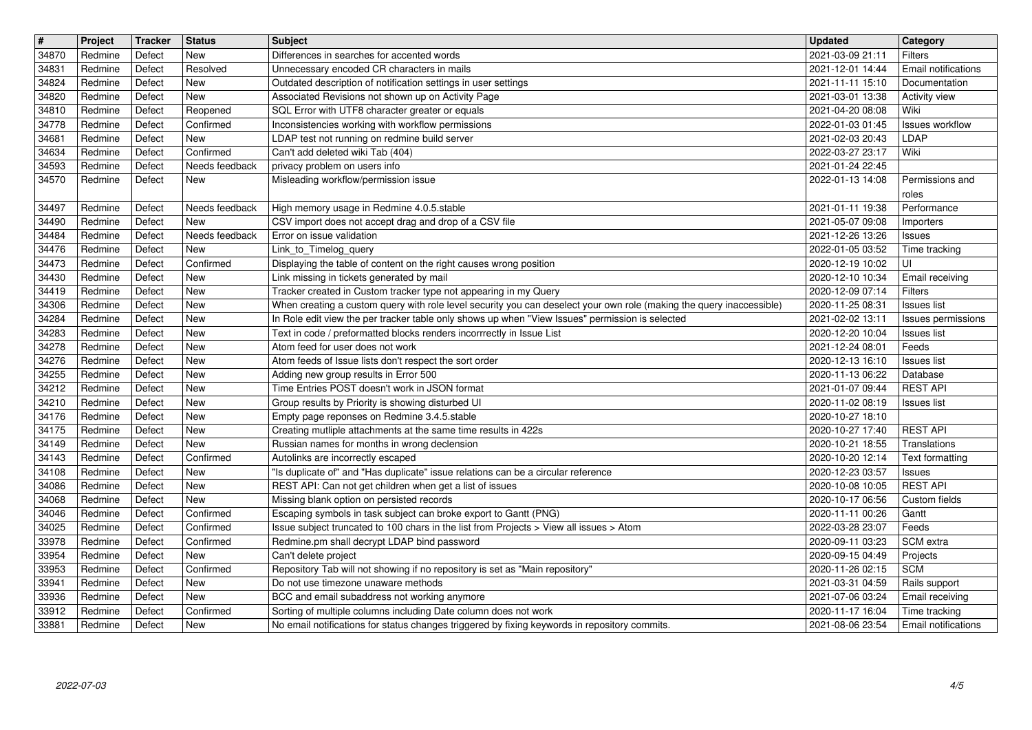| $\overline{\boldsymbol{H}}$ | Project | Tracker | <b>Status</b>  | <b>Subject</b>                                                                                                       | <b>Updated</b>   | Category               |
|-----------------------------|---------|---------|----------------|----------------------------------------------------------------------------------------------------------------------|------------------|------------------------|
| 34870                       | Redmine | Defect  | New            | Differences in searches for accented words                                                                           | 2021-03-09 21:11 | <b>Filters</b>         |
| 34831                       | Redmine | Defect  | Resolved       | Unnecessary encoded CR characters in mails                                                                           | 2021-12-01 14:44 | Email notifications    |
| 34824                       | Redmine | Defect  | <b>New</b>     | Outdated description of notification settings in user settings                                                       | 2021-11-11 15:10 | Documentation          |
| 34820                       | Redmine | Defect  | New            | Associated Revisions not shown up on Activity Page                                                                   | 2021-03-01 13:38 | <b>Activity view</b>   |
| 34810                       | Redmine | Defect  | Reopened       | SQL Error with UTF8 character greater or equals                                                                      | 2021-04-20 08:08 | Wiki                   |
| 34778                       | Redmine | Defect  | Confirmed      | Inconsistencies working with workflow permissions                                                                    | 2022-01-03 01:45 | <b>Issues workflow</b> |
| 34681                       | Redmine | Defect  | New            | LDAP test not running on redmine build server                                                                        | 2021-02-03 20:43 | LDAP                   |
| 34634                       | Redmine | Defect  | Confirmed      | Can't add deleted wiki Tab (404)                                                                                     | 2022-03-27 23:17 | Wiki                   |
| 34593                       | Redmine | Defect  | Needs feedback | privacy problem on users info                                                                                        | 2021-01-24 22:45 | Permissions and        |
| 34570                       | Redmine | Defect  | New            | Misleading workflow/permission issue                                                                                 | 2022-01-13 14:08 | roles                  |
| 34497                       | Redmine | Defect  | Needs feedback | High memory usage in Redmine 4.0.5.stable                                                                            | 2021-01-11 19:38 | Performance            |
| 34490                       | Redmine | Defect  | New            | CSV import does not accept drag and drop of a CSV file                                                               | 2021-05-07 09:08 | Importers              |
| 34484                       | Redmine | Defect  | Needs feedback | Error on issue validation                                                                                            | 2021-12-26 13:26 | <b>Issues</b>          |
| 34476                       | Redmine | Defect  | New            | Link_to_Timelog_query                                                                                                | 2022-01-05 03:52 | Time tracking          |
| 34473                       | Redmine | Defect  | Confirmed      | Displaying the table of content on the right causes wrong position                                                   | 2020-12-19 10:02 | UI                     |
| 34430                       | Redmine | Defect  | New            | Link missing in tickets generated by mail                                                                            | 2020-12-10 10:34 | Email receiving        |
| 34419                       | Redmine | Defect  | New            | Tracker created in Custom tracker type not appearing in my Query                                                     | 2020-12-09 07:14 | <b>Filters</b>         |
| 34306                       | Redmine | Defect  | New            | When creating a custom query with role level security you can deselect your own role (making the query inaccessible) | 2020-11-25 08:31 | Issues list            |
| 34284                       | Redmine | Defect  | New            | In Role edit view the per tracker table only shows up when "View Issues" permission is selected                      | 2021-02-02 13:11 | Issues permissions     |
| 34283                       | Redmine | Defect  | New            | Text in code / preformatted blocks renders incorrrectly in Issue List                                                | 2020-12-20 10:04 | <b>Issues list</b>     |
| 34278                       | Redmine | Defect  | New            | Atom feed for user does not work                                                                                     | 2021-12-24 08:01 | Feeds                  |
| 34276                       | Redmine | Defect  | New            | Atom feeds of Issue lists don't respect the sort order                                                               | 2020-12-13 16:10 | <b>Issues list</b>     |
| 34255                       | Redmine | Defect  | New            | Adding new group results in Error 500                                                                                | 2020-11-13 06:22 | Database               |
| 34212                       | Redmine | Defect  | New            | Time Entries POST doesn't work in JSON format                                                                        | 2021-01-07 09:44 | <b>REST API</b>        |
| 34210                       | Redmine | Defect  | New            | Group results by Priority is showing disturbed UI                                                                    | 2020-11-02 08:19 | <b>Issues list</b>     |
| 34176                       | Redmine | Defect  | New            | Empty page reponses on Redmine 3.4.5.stable                                                                          | 2020-10-27 18:10 |                        |
| 34175                       | Redmine | Defect  | New            | Creating mutliple attachments at the same time results in 422s                                                       | 2020-10-27 17:40 | <b>REST API</b>        |
| 34149                       | Redmine | Defect  | New            | Russian names for months in wrong declension                                                                         | 2020-10-21 18:55 | Translations           |
| 34143                       | Redmine | Defect  | Confirmed      | Autolinks are incorrectly escaped                                                                                    | 2020-10-20 12:14 | Text formatting        |
| 34108                       | Redmine | Defect  | New            | "Is duplicate of" and "Has duplicate" issue relations can be a circular reference                                    | 2020-12-23 03:57 | <b>Issues</b>          |
| 34086                       | Redmine | Defect  | <b>New</b>     | REST API: Can not get children when get a list of issues                                                             | 2020-10-08 10:05 | <b>REST API</b>        |
| 34068                       | Redmine | Defect  | New            | Missing blank option on persisted records                                                                            | 2020-10-17 06:56 | Custom fields          |
| 34046                       | Redmine | Defect  | Confirmed      | Escaping symbols in task subject can broke export to Gantt (PNG)                                                     | 2020-11-11 00:26 | Gantt                  |
| 34025                       | Redmine | Defect  | Confirmed      | Issue subject truncated to 100 chars in the list from Projects > View all issues > Atom                              | 2022-03-28 23:07 | Feeds                  |
| 33978                       | Redmine | Defect  | Confirmed      | Redmine.pm shall decrypt LDAP bind password                                                                          | 2020-09-11 03:23 | SCM extra              |
| 33954                       | Redmine | Defect  | New            | Can't delete project                                                                                                 | 2020-09-15 04:49 | Projects               |
| 33953                       | Redmine | Defect  | Confirmed      | Repository Tab will not showing if no repository is set as "Main repository"                                         | 2020-11-26 02:15 | <b>SCM</b>             |
| 33941                       | Redmine | Defect  | New            | Do not use timezone unaware methods                                                                                  | 2021-03-31 04:59 | Rails support          |
| 33936                       | Redmine | Defect  | New            | BCC and email subaddress not working anymore                                                                         | 2021-07-06 03:24 | Email receiving        |
| 33912                       | Redmine | Defect  | Confirmed      | Sorting of multiple columns including Date column does not work                                                      | 2020-11-17 16:04 | Time tracking          |
| 33881                       | Redmine | Defect  | New            | No email notifications for status changes triggered by fixing keywords in repository commits.                        | 2021-08-06 23:54 | Email notifications    |
|                             |         |         |                |                                                                                                                      |                  |                        |
|                             |         |         |                |                                                                                                                      |                  |                        |
|                             |         |         |                |                                                                                                                      |                  |                        |
|                             |         |         |                |                                                                                                                      |                  |                        |